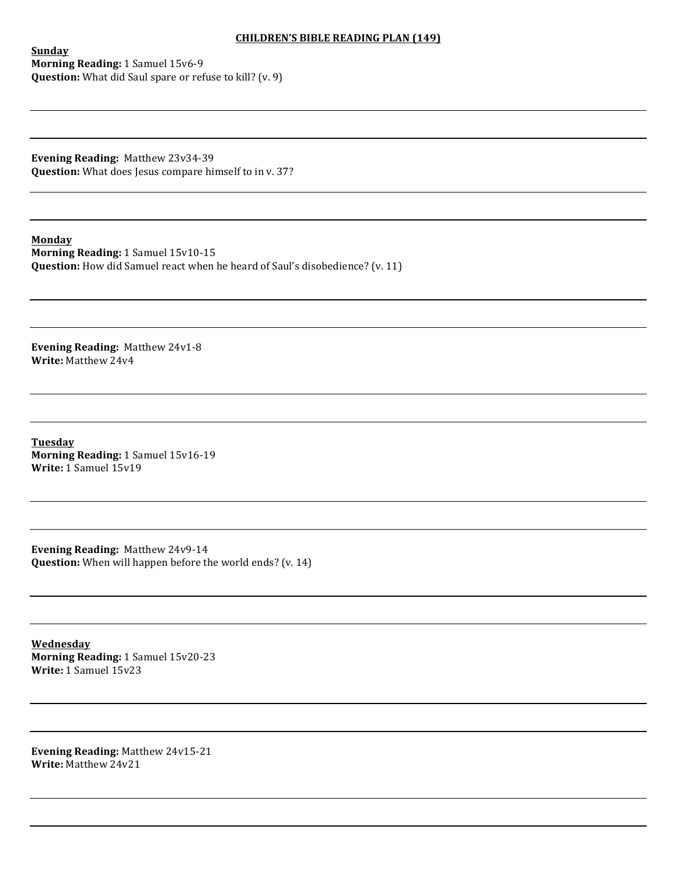## **CHILDREN'S BIBLE READING PLAN (149)**

**Sunday Morning Reading: 1 Samuel 15v6-9 Question:** What did Saul spare or refuse to kill? (v. 9)

**Evening Reading: Matthew 23v34-39 Question:** What does Jesus compare himself to in v. 37?

**Monday Morning Reading:** 1 Samuel 15v10-15 **Question:** How did Samuel react when he heard of Saul's disobedience? (v. 11)

**Evening Reading: Matthew 24v1-8 Write:** Matthew 24v4

**Tuesday Morning Reading:** 1 Samuel 15v16-19 **Write:** 1 Samuel 15v19

**Evening Reading: Matthew 24v9-14 Question:** When will happen before the world ends? (v. 14)

**Wednesday Morning Reading:** 1 Samuel 15v20-23 **Write:** 1 Samuel 15v23

**Evening Reading:** Matthew 24v15-21 **Write: Matthew 24v21**